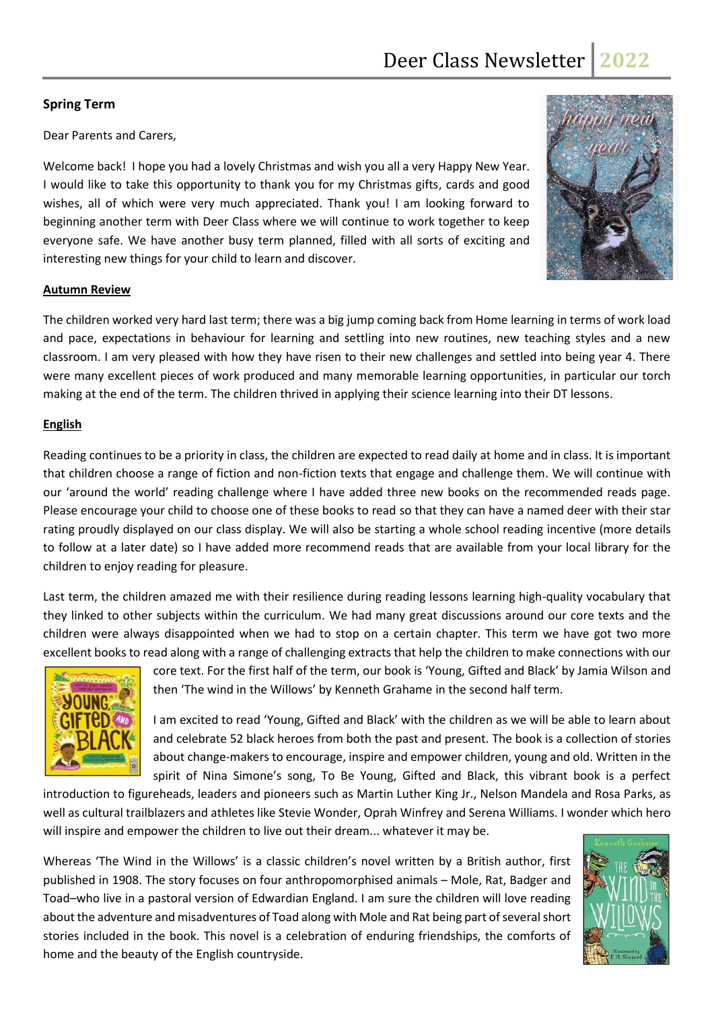# **Spring Term**

Dear Parents and Carers,

Welcome back! I hope you had a lovely Christmas and wish you all a very Happy New Year. I would like to take this opportunity to thank you for my Christmas gifts, cards and good wishes, all of which were very much appreciated. Thank you! I am looking forward to beginning another term with Deer Class where we will continue to work together to keep everyone safe. We have another busy term planned, filled with all sorts of exciting and interesting new things for your child to learn and discover.



#### **Autumn Review**

The children worked very hard last term; there was a big jump coming back from Home learning in terms of work load and pace, expectations in behaviour for learning and settling into new routines, new teaching styles and a new classroom. I am very pleased with how they have risen to their new challenges and settled into being year 4. There were many excellent pieces of work produced and many memorable learning opportunities, in particular our torch making at the end of the term. The children thrived in applying their science learning into their DT lessons.

### **English**

Reading continues to be a priority in class, the children are expected to read daily at home and in class. It is important that children choose a range of fiction and non-fiction texts that engage and challenge them. We will continue with our 'around the world' reading challenge where I have added three new books on the recommended reads page. Please encourage your child to choose one of these books to read so that they can have a named deer with their star rating proudly displayed on our class display. We will also be starting a whole school reading incentive (more details to follow at a later date) so I have added more recommend reads that are available from your local library for the children to enjoy reading for pleasure.

Last term, the children amazed me with their resilience during reading lessons learning high-quality vocabulary that they linked to other subjects within the curriculum. We had many great discussions around our core texts and the children were always disappointed when we had to stop on a certain chapter. This term we have got two more excellent books to read along with a range of challenging extracts that help the children to make connections with our



core text. For the first half of the term, our book is 'Young, Gifted and Black' by Jamia Wilson and then 'The wind in the Willows' by Kenneth Grahame in the second half term.

I am excited to read 'Young, Gifted and Black' with the children as we will be able to learn about and celebrate 52 black heroes from both the past and present. The book is a collection of stories about change-makers to encourage, inspire and empower children, young and old. Written in the spirit of Nina Simone's song, To Be Young, Gifted and Black, this vibrant book is a perfect

introduction to figureheads, leaders and pioneers such as Martin Luther King Jr., Nelson Mandela and Rosa Parks, as well as cultural trailblazers and athletes like Stevie Wonder, Oprah Winfrey and Serena Williams. I wonder which hero will inspire and empower the children to live out their dream... whatever it may be.

Whereas 'The Wind in the Willows' is a classic children's novel written by a British author, first published in 1908. The story focuses on four anthropomorphised animals – Mole, Rat, Badger and Toad–who live in a pastoral version of Edwardian England. I am sure the children will love reading about the adventure and misadventures of Toad along with Mole and Rat being part of several short stories included in the book. This novel is a celebration of enduring friendships, the comforts of home and the beauty of the English countryside.

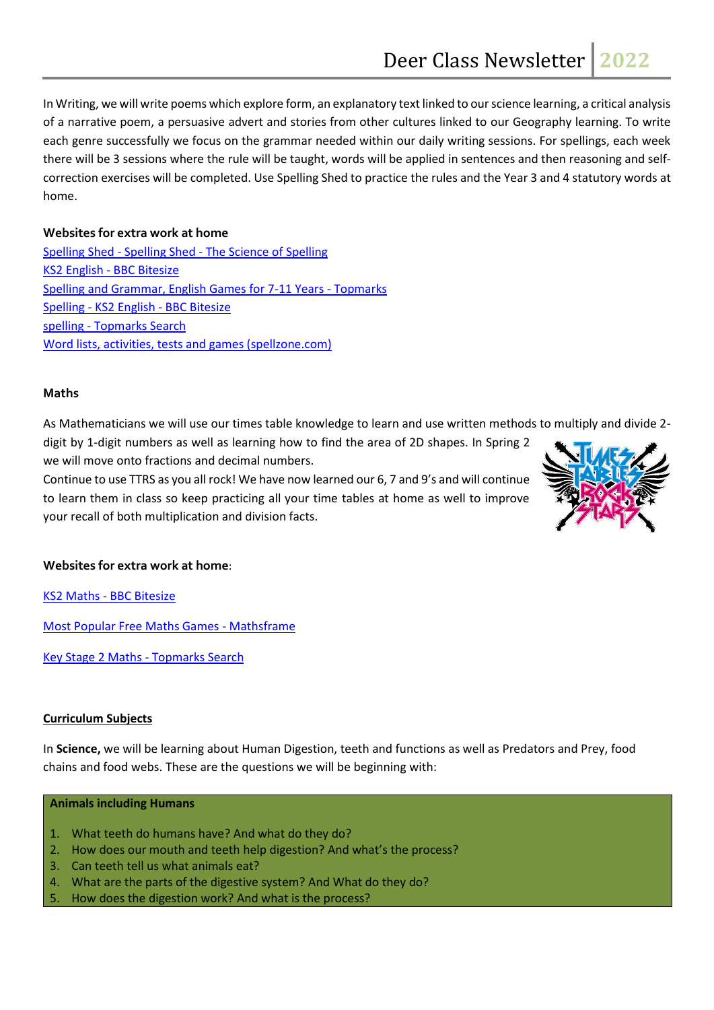In Writing, we will write poems which explore form, an explanatory text linked to our science learning, a critical analysis of a narrative poem, a persuasive advert and stories from other cultures linked to our Geography learning. To write each genre successfully we focus on the grammar needed within our daily writing sessions. For spellings, each week there will be 3 sessions where the rule will be taught, words will be applied in sentences and then reasoning and selfcorrection exercises will be completed. Use Spelling Shed to practice the rules and the Year 3 and 4 statutory words at home.

# **Websites for extra work at home**

Spelling Shed - Spelling Shed - [The Science of Spelling](https://www.spellingshed.com/en-gb/) [KS2 English -](https://www.bbc.co.uk/bitesize/subjects/zv48q6f/) BBC Bitesize [Spelling and Grammar, English Games for 7-11 Years](https://www.topmarks.co.uk/english-games/7-11-years/spelling-and-grammar) - Topmarks Spelling - [KS2 English -](https://www.bbc.co.uk/bitesize/topics/zt62mnb) BBC Bitesize spelling - [Topmarks Search](https://www.topmarks.co.uk/search.aspx?q=spelling) [Word lists, activities, tests and games \(spellzone.com\)](https://www.spellzone.com/word_lists/)

### **Maths**

As Mathematicians we will use our times table knowledge to learn and use written methods to multiply and divide 2 digit by 1-digit numbers as well as learning how to find the area of 2D shapes. In Spring 2

we will move onto fractions and decimal numbers.

Continue to use TTRS as you all rock! We have now learned our 6, 7 and 9's and will continue to learn them in class so keep practicing all your time tables at home as well to improve your recall of both multiplication and division facts.



# **Websites for extra work at home**:

KS2 Maths - [BBC Bitesize](https://www.bbc.co.uk/bitesize/subjects/z826n39)

[Most Popular Free Maths Games -](https://mathsframe.co.uk/en/resources/category/22/most-popular) Mathsframe

[Key Stage 2 Maths -](https://www.topmarks.co.uk/Search.aspx?Subject=16&AgeGroup=3) Topmarks Search

#### **Curriculum Subjects**

In **Science,** we will be learning about Human Digestion, teeth and functions as well as Predators and Prey, food chains and food webs. These are the questions we will be beginning with:

#### **Animals including Humans**

- 1. What teeth do humans have? And what do they do?
- 2. How does our mouth and teeth help digestion? And what's the process?
- 3. Can teeth tell us what animals eat?
- 4. What are the parts of the digestive system? And What do they do?
- 5. How does the digestion work? And what is the process?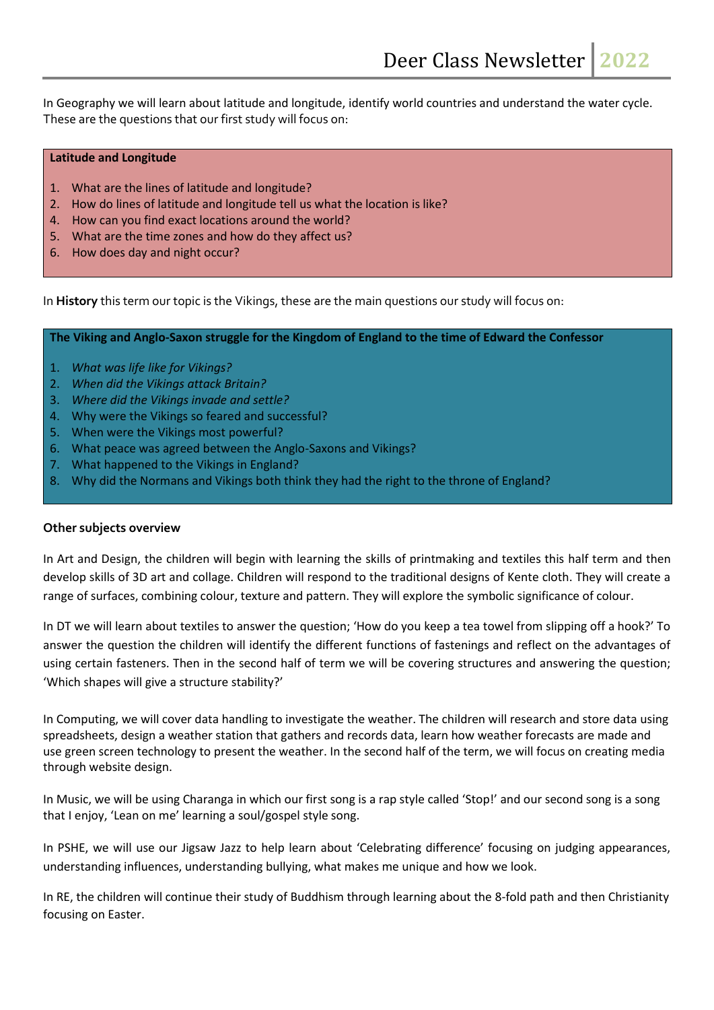In Geography we will learn about latitude and longitude, identify world countries and understand the water cycle. These are the questions that our first study will focus on:

#### **Latitude and Longitude**

- 1. What are the lines of latitude and longitude?
- 2. How do lines of latitude and longitude tell us what the location is like?
- 4. How can you find exact locations around the world?
- 5. What are the time zones and how do they affect us?
- 6. How does day and night occur?

In **History** this term our topic is the Vikings, these are the main questions our study will focus on:

**The Viking and Anglo-Saxon struggle for the Kingdom of England to the time of Edward the Confessor**

- 1. *What was life like for Vikings?*
- 2. *When did the Vikings attack Britain?*
- 3. *Where did the Vikings invade and settle?*
- 4. Why were the Vikings so feared and successful?
- 5. When were the Vikings most powerful?
- 6. What peace was agreed between the Anglo-Saxons and Vikings?
- 7. What happened to the Vikings in England?
- 8. Why did the Normans and Vikings both think they had the right to the throne of England?

#### **Other subjects overview**

In Art and Design, the children will begin with learning the skills of printmaking and textiles this half term and then develop skills of 3D art and collage. Children will respond to the traditional designs of Kente cloth. They will create a range of surfaces, combining colour, texture and pattern. They will explore the symbolic significance of colour.

In DT we will learn about textiles to answer the question; 'How do you keep a tea towel from slipping off a hook?' To answer the question the children will identify the different functions of fastenings and reflect on the advantages of using certain fasteners. Then in the second half of term we will be covering structures and answering the question; 'Which shapes will give a structure stability?'

In Computing, we will cover data handling to investigate the weather. The children will research and store data using spreadsheets, design a weather station that gathers and records data, learn how weather forecasts are made and use green screen technology to present the weather. In the second half of the term, we will focus on creating media through website design.

In Music, we will be using Charanga in which our first song is a rap style called 'Stop!' and our second song is a song that I enjoy, 'Lean on me' learning a soul/gospel style song.

In PSHE, we will use our Jigsaw Jazz to help learn about 'Celebrating difference' focusing on judging appearances, understanding influences, understanding bullying, what makes me unique and how we look.

In RE, the children will continue their study of Buddhism through learning about the 8-fold path and then Christianity focusing on Easter.